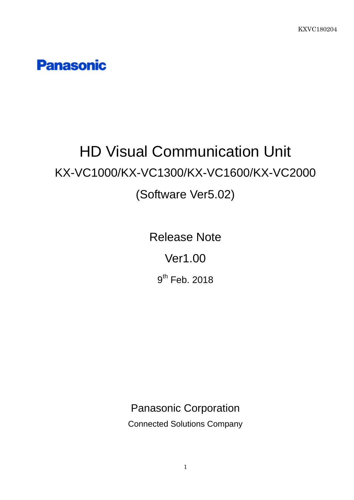**Panasonic** 

# HD Visual Communication Unit KX-VC1000/KX-VC1300/KX-VC1600/KX-VC2000 (Software Ver5.02)

Release Note

Ver1.00

9<sup>th</sup> Feb. 2018

Panasonic Corporation

Connected Solutions Company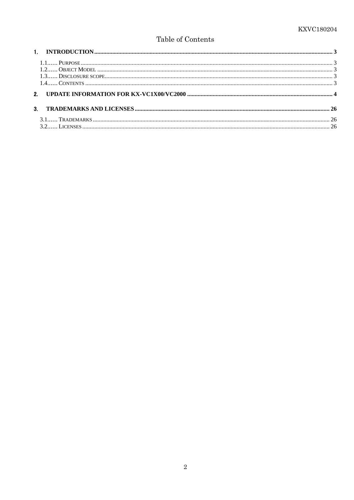## Table of Contents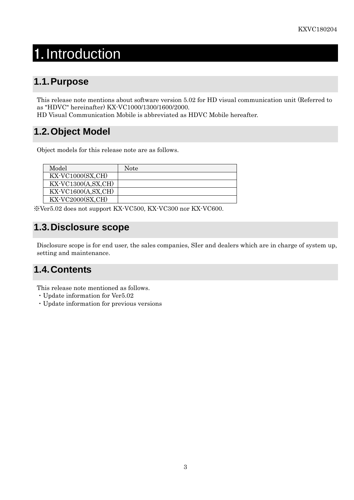## <span id="page-2-0"></span>1. Introduction

## <span id="page-2-1"></span>**1.1.Purpose**

This release note mentions about software version 5.02 for HD visual communication unit (Referred to as "HDVC" hereinafter) KX-VC1000/1300/1600/2000.

HD Visual Communication Mobile is abbreviated as HDVC Mobile hereafter.

## <span id="page-2-2"></span>**1.2.Object Model**

Object models for this release note are as follows.

| Model                                                  | Note |
|--------------------------------------------------------|------|
| $\overline{\text{KX-VC1000}(\text{SX},\text{CH})}$     |      |
| $\overline{\text{KX-VC1300(A, \text{SX}, \text{CH})}}$ |      |
| $\overline{\text{KX-VC1600(A, \text{SX}, \text{CH})}}$ |      |
| $\overline{\text{KX-VC2000(SX,CH)}}$                   |      |

※Ver5.02 does not support KX-VC500, KX-VC300 nor KX-VC600.

## <span id="page-2-3"></span>**1.3.Disclosure scope**

Disclosure scope is for end user, the sales companies, SIer and dealers which are in charge of system up, setting and maintenance.

## <span id="page-2-4"></span>**1.4.Contents**

This release note mentioned as follows.

- ・Update information for Ver5.02
- ・Update information for previous versions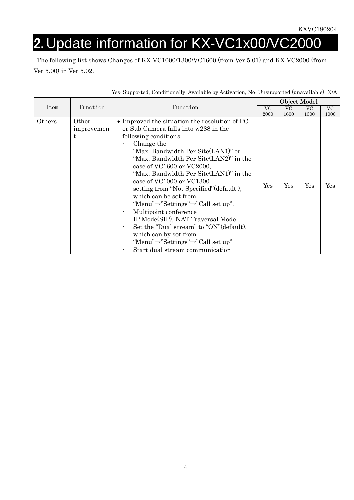# <span id="page-3-0"></span>2. Update information for KX-VC1x00/VC2000

The following list shows Changes of KX-VC1000/1300/VC1600 (from Ver 5.01) and KX-VC2000 (from Ver 5.00) in Ver 5.02.

|        |                           |                                                                                                                                                                                                                                                                                                                                                                                                                                                                                                                                                                                                                                                                                         |           | Object Model |      |           |
|--------|---------------------------|-----------------------------------------------------------------------------------------------------------------------------------------------------------------------------------------------------------------------------------------------------------------------------------------------------------------------------------------------------------------------------------------------------------------------------------------------------------------------------------------------------------------------------------------------------------------------------------------------------------------------------------------------------------------------------------------|-----------|--------------|------|-----------|
| Item   | Function                  | Function                                                                                                                                                                                                                                                                                                                                                                                                                                                                                                                                                                                                                                                                                | <b>VC</b> | <b>VC</b>    | VC   | <b>VC</b> |
|        |                           |                                                                                                                                                                                                                                                                                                                                                                                                                                                                                                                                                                                                                                                                                         | 2000      | 1600         | 1300 | 1000      |
| Others | Other<br>improvemen<br>t. | • Improved the situation the resolution of PC<br>or Sub Camera falls into w288 in the<br>following conditions.<br>Change the<br>"Max. Bandwidth Per Site(LAN1)" or<br>"Max. Bandwidth Per Site(LAN2)" in the<br>case of VC1600 or VC2000,<br>"Max. Bandwidth Per Site(LAN1)" in the<br>case of VC1000 or VC1300<br>setting from "Not Specified" (default),<br>which can be set from<br>"Menu" $\rightarrow$ "Settings" $\rightarrow$ "Call set up".<br>Multipoint conference<br>IP Mode(SIP), NAT Traversal Mode<br>Set the "Dual stream" to "ON" (default),<br>which can by set from<br>"Menu" $\rightarrow$ "Settings" $\rightarrow$ "Call set up"<br>Start dual stream communication | Yes       | Yes          | Yes  | Yes       |

## Yes: Supported, Conditionally: Available by Activation, No: Unsupported (unavailable), N/A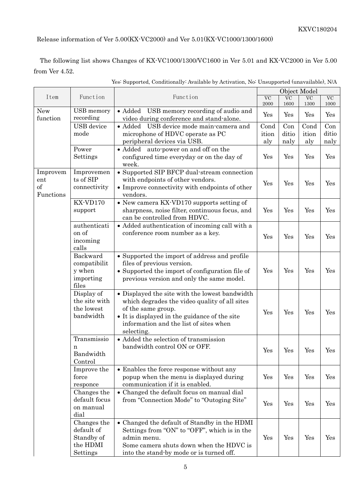Release information of Ver 5.00(KX-VC2000) and Ver 5.01(KX-VC1000/1300/1600)

The following list shows Changes of KX-VC1000/1300/VC1600 in Ver 5.01 and KX-VC2000 in Ver 5.00 from Ver 4.52.

|                                    |                                                                 |                                                                                                                                                                                                                                |                      | Object Model         |                      |                      |
|------------------------------------|-----------------------------------------------------------------|--------------------------------------------------------------------------------------------------------------------------------------------------------------------------------------------------------------------------------|----------------------|----------------------|----------------------|----------------------|
| Item                               | Function                                                        | Function                                                                                                                                                                                                                       | <b>VC</b><br>2000    | <b>VC</b><br>1600    | $\rm VC$<br>1300     | $\rm VC$<br>1000     |
| <b>New</b><br>function             | USB memory<br>recording                                         | • Added USB memory recording of audio and<br>video during conference and stand-alone.                                                                                                                                          | Yes                  | Yes                  | Yes                  | Yes                  |
|                                    | <b>USB</b> device<br>mode                                       | • Added USB device mode main-camera and<br>microphone of HDVC operate as PC<br>peripheral devices via USB.                                                                                                                     | Cond<br>ition<br>aly | Con<br>ditio<br>naly | Cond<br>ition<br>aly | Con<br>ditio<br>naly |
|                                    | Power<br>Settings                                               | • Added auto-power on and off on the<br>configured time everyday or on the day of<br>week.                                                                                                                                     | Yes                  | Yes                  | Yes                  | Yes                  |
| Improvem<br>ent<br>of<br>Functions | Improvemen<br>ts of SIP<br>connectivity                         | • Supported SIP BFCP dual-stream connection<br>with endpoints of other vendors.<br>• Improve connectivity with endpoints of other<br>vendors.                                                                                  | Yes                  | Yes                  | Yes                  | Yes                  |
|                                    | KX-VD170<br>support                                             | • New camera KX-VD170 supports setting of<br>sharpness, noise filter, continuous focus, and<br>can be controlled from HDVC.                                                                                                    | Yes                  | Yes                  | Yes                  | Yes                  |
|                                    | authenticati<br>on of<br>incoming<br>calls                      | • Added authentication of incoming call with a<br>conference room number as a key.                                                                                                                                             | Yes                  | Yes                  | Yes                  | Yes                  |
|                                    | Backward<br>compatibilit<br>y when<br>importing<br>files        | • Supported the import of address and profile<br>files of previous version.<br>• Supported the import of configuration file of<br>previous version and only the same model.                                                    | Yes                  | Yes                  | Yes                  | Yes                  |
|                                    | Display of<br>the site with<br>the lowest<br>bandwidth          | • Displayed the site with the lowest bandwidth<br>which degrades the video quality of all sites<br>of the same group.<br>• It is displayed in the guidance of the site<br>information and the list of sites when<br>selecting. | Yes                  | Yes                  | Yes                  | Yes                  |
|                                    | Transmissio<br>n<br>Bandwidth<br>Control                        | • Added the selection of transmission<br>bandwidth control ON or OFF.                                                                                                                                                          | Yes                  | Yes                  | Yes                  | Yes                  |
|                                    | Improve the<br>force<br>responce                                | • Enables the force response without any<br>popup when the menu is displayed during<br>communication if it is enabled.                                                                                                         | Yes                  | Yes                  | Yes                  | Yes                  |
|                                    | Changes the<br>default focus<br>on manual<br>dial               | • Changed the default focus on manual dial<br>from "Connection Mode" to "Outoging Site"                                                                                                                                        | Yes                  | Yes                  | Yes                  | Yes                  |
|                                    | Changes the<br>default of<br>Standby of<br>the HDMI<br>Settings | • Changed the default of Standby in the HDMI<br>Settings from "ON" to "OFF", which is in the<br>admin menu.<br>Some camera shuts down when the HDVC is<br>into the stand-by mode or is turned off.                             | Yes                  | Yes                  | Yes                  | Yes                  |

Yes: Supported, Conditionally: Available by Activation, No: Unsupported (unavailable), N/A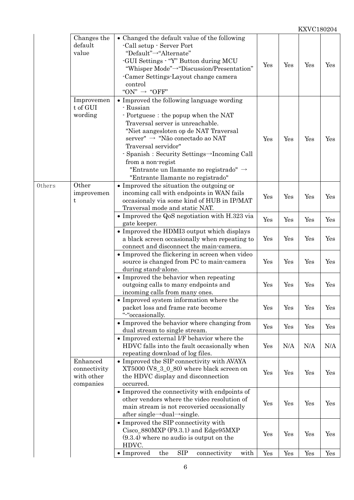|        | Changes the<br>default<br>value                     | • Changed the default value of the following<br>-Call setup - Server Port<br>"Default"→"Alternate"<br>-GUI Settings - "Y" Button during MCU<br>"Whisper Mode"->"Discussion/Presentation"<br>-Camer Settings-Layout change camera<br>control<br>"ON" $\rightarrow$ "OFF"                                                                                                                                         | Yes | Yes | Yes | Yes |
|--------|-----------------------------------------------------|-----------------------------------------------------------------------------------------------------------------------------------------------------------------------------------------------------------------------------------------------------------------------------------------------------------------------------------------------------------------------------------------------------------------|-----|-----|-----|-----|
|        | Improvemen<br>t of GUI<br>wording                   | • Improved the following language wording<br>- Russian<br>- Portguese: the popup when the NAT<br>Traversal server is unreachable.<br>"Niet aangesloten op de NAT Traversal<br>server" $\rightarrow$ "Não conectado ao NAT<br>Traversal servidor"<br>- Spanish: Security Settings->Incoming Call<br>from a non-regist<br>"Entrante un llamante no registrado" $\rightarrow$<br>"Entrante llamante no registrado" | Yes | Yes | Yes | Yes |
| Others | Other<br>improvemen<br>t                            | • Improved the situation the outgoing or<br>incoming call with endpoints in WAN fails<br>occasionaly via some kind of HUB in IP/MAT<br>Traversal mode and static NAT.                                                                                                                                                                                                                                           | Yes | Yes | Yes | Yes |
|        |                                                     | • Improved the QoS negotiation with H.323 via<br>gate keeper.                                                                                                                                                                                                                                                                                                                                                   | Yes | Yes | Yes | Yes |
|        |                                                     | • Improved the HDMI3 output which displays<br>a black screen occasionally when repeating to<br>connect and disconnect the main-camera.                                                                                                                                                                                                                                                                          | Yes | Yes | Yes | Yes |
|        |                                                     | • Improved the flickering in screen when video<br>source is changed from PC to main-camera<br>during stand-alone.                                                                                                                                                                                                                                                                                               | Yes | Yes | Yes | Yes |
|        |                                                     | • Improved the behavior when repeating<br>outgoing calls to many endpoints and<br>incoming calls from many ones.                                                                                                                                                                                                                                                                                                | Yes | Yes | Yes | Yes |
|        |                                                     | • Improved system information where the<br>packet loss and frame rate become<br>"-"occasionally.                                                                                                                                                                                                                                                                                                                | Yes | Yes | Yes | Yes |
|        |                                                     | • Improved the behavior where changing from<br>dual stream to single stream.                                                                                                                                                                                                                                                                                                                                    | Yes | Yes | Yes | Yes |
|        |                                                     | • Improved external I/F behavior where the<br>HDVC falls into the fault occasionally when<br>repeating download of log files.                                                                                                                                                                                                                                                                                   | Yes | N/A | N/A | N/A |
|        | Enhanced<br>connectivity<br>with other<br>companies | • Improved the SIP connectivity with AVAYA<br>$XT5000 (V8_3_080)$ where black screen on<br>the HDVC display and disconnection<br>occurred.                                                                                                                                                                                                                                                                      | Yes | Yes | Yes | Yes |
|        |                                                     | • Improved the connectivity with endpoints of<br>other vendors where the video resolution of<br>main stream is not recoveried occasionally<br>after single $\rightarrow$ dual $\rightarrow$ single.                                                                                                                                                                                                             | Yes | Yes | Yes | Yes |
|        |                                                     | • Improved the SIP connectivity with<br>$Cisco_880MXP (F9.3.1)$ and $Edge95MXP$<br>$(9.3.4)$ where no audio is output on the<br>HDVC.                                                                                                                                                                                                                                                                           | Yes | Yes | Yes | Yes |
|        |                                                     | <b>SIP</b><br>• Improved<br>the<br>connectivity<br>with                                                                                                                                                                                                                                                                                                                                                         | Yes | Yes | Yes | Yes |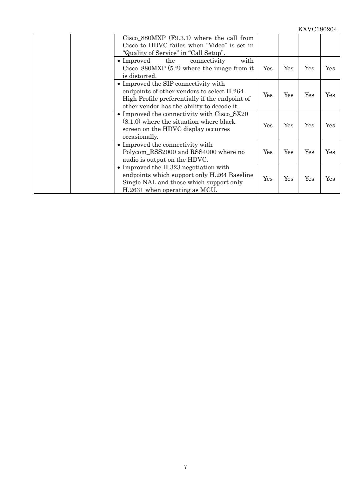| $Cisco_880MXP$ (F9.3.1) where the call from<br>Cisco to HDVC failes when "Video" is set in<br>"Quality of Service" in "Call Setup".                                                |     |     |                      |     |
|------------------------------------------------------------------------------------------------------------------------------------------------------------------------------------|-----|-----|----------------------|-----|
| $\bullet$ Improved<br>the<br>connectivity<br>with<br>$Cisco_880MXP (5.2)$ where the image from it<br>is distorted.                                                                 | Yes | Yes | Yes                  | Yes |
| • Improved the SIP connectivity with<br>endpoints of other vendors to select H.264<br>High Profile preferentially if the endpoint of<br>other vendor has the ability to decode it. | Yes | Yes | $\operatorname{Yes}$ | Yes |
| • Improved the connectivity with Cisco_SX20<br>$(8.1.0)$ where the situation where black<br>screen on the HDVC display occurres<br>occasionally.                                   | Yes | Yes | $\operatorname{Yes}$ | Yes |
| • Improved the connectivity with<br>Polycom_RSS2000 and RSS4000 where no<br>audio is output on the HDVC.                                                                           | Yes | Yes | Yes                  | Yes |
| • Improved the $H.323$ negotiation with<br>endpoints which support only H.264 Baseline<br>Single NAL and those which support only<br>$H.263+$ when operating as MCU.               | Yes | Yes | Yes                  | Yes |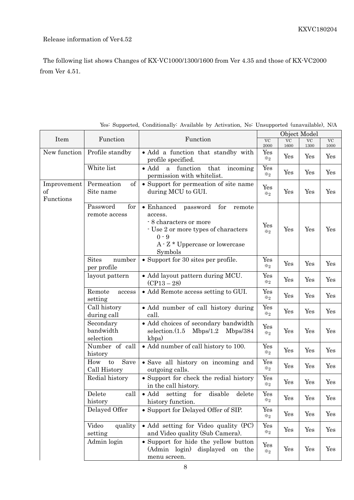Release information of Ver4.52

The following list shows Changes of KX-VC1000/1300/1600 from Ver 4.35 and those of KX-VC2000 from Ver 4.51.

|                                |                                       |                                                                                                                                                                          |                           |                   | Object Model                   |                                |
|--------------------------------|---------------------------------------|--------------------------------------------------------------------------------------------------------------------------------------------------------------------------|---------------------------|-------------------|--------------------------------|--------------------------------|
| Item                           | Function                              | Function                                                                                                                                                                 | VC<br>2000                | <b>VC</b><br>1600 | $\overline{\text{VC}}$<br>1300 | $\overline{\text{VC}}$<br>1000 |
| New function                   | Profile standby                       | • Add a function that standby with<br>profile specified.                                                                                                                 | Yes<br>$\divideontimes_2$ | Yes               | Yes                            | Yes                            |
|                                | White list                            | $\bullet$ Add<br>$\mathbf{a}$<br>function<br>that<br>incoming<br>permission with whitelist.                                                                              | Yes<br>$\divideontimes_2$ | Yes               | Yes                            | Yes                            |
| Improvement<br>of<br>Functions | Permeation<br>of<br>Site name         | • Support for permeation of site name<br>during MCU to GUI.                                                                                                              | Yes<br>$\divideontimes_2$ | Yes               | Yes                            | Yes                            |
|                                | Password<br>for<br>remote access      | for<br>• Enhanced password<br>remote<br>access.<br>- 8 characters or more<br>- Use 2 or more types of characters<br>$0 - 9$<br>A - Z * Uppercase or lowercase<br>Symbols | Yes<br>$\divideontimes_2$ | Yes               | Yes                            | Yes                            |
|                                | <b>Sites</b><br>number<br>per profile | • Support for 30 sites per profile.                                                                                                                                      | Yes<br>$\divideontimes_2$ | Yes               | Yes                            | Yes                            |
|                                | layout pattern                        | • Add layout pattern during MCU.<br>$(CP13-28)$                                                                                                                          | Yes<br>$\divideontimes_2$ | Yes               | Yes                            | Yes                            |
|                                | Remote<br>access<br>setting           | • Add Remote access setting to GUI.                                                                                                                                      | Yes<br>$\divideontimes_2$ | Yes               | Yes                            | Yes                            |
|                                | Call history<br>during call           | • Add number of call history during<br>call.                                                                                                                             | Yes<br>$\divideontimes_2$ | Yes               | Yes                            | Yes                            |
|                                | Secondary<br>bandwidth<br>selection   | • Add choices of secondary bandwidth<br>selection.(1.5)<br>Mbps/1.2<br>Mbps/384<br>kbps)                                                                                 | Yes<br>$\divideontimes_2$ | Yes               | Yes                            | Yes                            |
|                                | Number of call<br>history             | • Add number of call history to 100.                                                                                                                                     | Yes<br>$\divideontimes_2$ | Yes               | Yes                            | Yes                            |
|                                | Save<br>How<br>to<br>Call History     | · Save all history on incoming and<br>outgoing calls.                                                                                                                    | Yes<br>$\divideontimes_2$ | Yes               | Yes                            | Yes                            |
|                                | Redial history                        | • Support for check the redial history<br>in the call history.                                                                                                           | Yes<br>$\divideontimes_2$ | Yes               | Yes                            | Yes                            |
|                                | Delete<br>call<br>history             | • Add setting for<br>disable<br>delete<br>history function.                                                                                                              | Yes<br>$\divideontimes_2$ | Yes               | Yes                            | Yes                            |
|                                | Delayed Offer                         | • Support for Delayed Offer of SIP.                                                                                                                                      | Yes<br>$\mathbb{X}_2$     | Yes               | Yes                            | Yes                            |
|                                | quality<br>Video<br>setting           | • Add setting for Video quality (PC)<br>and Video quality (Sub Camera).                                                                                                  | Yes<br>$\divideontimes_2$ | Yes               | Yes                            | Yes                            |
|                                | Admin login                           | • Support for hide the yellow button<br>(Admin login)<br>displayed on the<br>menu screen.                                                                                | Yes<br>$\divideontimes_2$ | Yes               | Yes                            | Yes                            |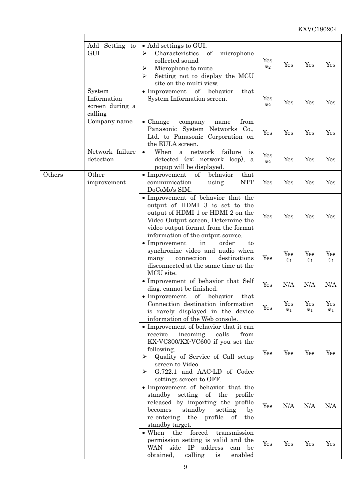|        | Add Setting to<br>GUI                               | • Add settings to GUI.<br>Characteristics<br>of<br>≻<br>microphone<br>collected sound<br>Microphone to mute<br>≻<br>Setting not to display the MCU<br>≻<br>site on the multi view.                                                                     | Yes<br>$\divideontimes_2$ | Yes                                    | Yes                                        | Yes                                    |
|--------|-----------------------------------------------------|--------------------------------------------------------------------------------------------------------------------------------------------------------------------------------------------------------------------------------------------------------|---------------------------|----------------------------------------|--------------------------------------------|----------------------------------------|
|        | System<br>Information<br>screen during a<br>calling | behavior<br>of<br>that<br>$\bullet$ Improvement<br>System Information screen.                                                                                                                                                                          | Yes<br>$\divideontimes_2$ | Yes                                    | Yes                                        | Yes                                    |
|        | Company name                                        | from<br>$\bullet$ Change<br>company<br>name<br>Panasonic<br>System<br>Networks<br>Co.,<br>Ltd. to Panasonic Corporation on<br>the EULA screen.                                                                                                         | Yes                       | Yes                                    | Yes                                        | Yes                                    |
|        | Network failure<br>detection                        | failure<br>When<br>network<br>is<br>$\bullet$<br>a<br>detected (ex: network loop),<br>a<br>popup will be displayed.                                                                                                                                    | Yes<br>$\divideontimes_2$ | Yes                                    | Yes                                        | Yes                                    |
| Others | Other<br>improvement                                | $\bullet$ Improvement<br>$\sigma$<br>behavior<br>that<br><b>NTT</b><br>communication<br>using<br>DoCoMo's SIM.                                                                                                                                         | Yes                       | Yes                                    | Yes                                        | Yes                                    |
|        |                                                     | · Improvement of behavior that the<br>output of HDMI 3 is set to the<br>output of HDMI 1 or HDMI 2 on the<br>Video Output screen, Determine the<br>video output format from the format<br>information of the output source.                            | Yes                       | Yes                                    | Yes                                        | Yes                                    |
|        |                                                     | $\bullet$ Improvement<br>in<br>order<br>to<br>synchronize video and audio when<br>connection<br>destinations<br>many<br>disconnected at the same time at the<br>MCU site.                                                                              | Yes                       | Yes<br>$\mathbb{X}_1$                  | Yes<br>$\times$ 1                          | Yes<br>$\mathbb{X}_1$                  |
|        |                                                     | • Improvement of behavior that Self<br>diag. cannot be finished.                                                                                                                                                                                       | Yes                       | N/A                                    | N/A                                        | N/A                                    |
|        |                                                     | $\bullet$ Improvement<br>$\sigma f$<br>behavior<br>that<br>Connection destination information<br>is rarely displayed in the device<br>information of the Web console.                                                                                  | Yes                       | $\operatorname{Yes}$<br>$\mathbb{X}_1$ | $\operatorname{Yes}$<br>$\divideontimes_1$ | $\operatorname{Yes}$<br>$\mathbb{X}_1$ |
|        |                                                     | • Improvement of behavior that it can<br>receive<br>incoming<br>calls<br>from<br>KX-VC300/KX-VC600 if you set the<br>following.<br>Quality of Service of Call setup<br>➤<br>screen to Video.<br>G.722.1 and AAC-LD of Codec<br>settings screen to OFF. | Yes                       | Yes                                    | Yes                                        | Yes                                    |
|        |                                                     | • Improvement of behavior that the<br>standby<br>setting of the<br>profile<br>released by importing the profile<br>standby<br>becomes<br>setting<br>by<br>re-entering<br>the<br>profile<br>of<br>the<br>standby target.                                | Yes                       | N/A                                    | N/A                                        | N/A                                    |
|        |                                                     | forced<br>the<br>$\bullet$ When<br>transmission<br>permission setting is valid and the<br>WAN side<br>IP address<br>can<br>be<br>obtained,<br>calling<br>is<br>enabled                                                                                 | Yes                       | Yes                                    | Yes                                        | Yes                                    |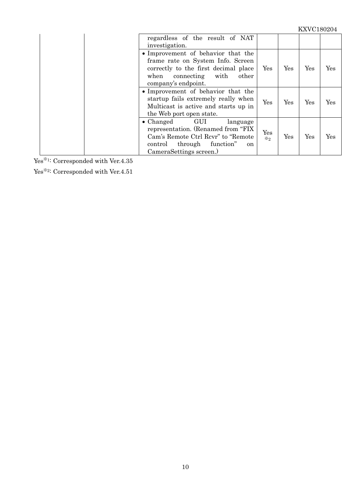| regardless of the result of NAT<br>investigation.                                                                                                                                        |                   |     |     |     |
|------------------------------------------------------------------------------------------------------------------------------------------------------------------------------------------|-------------------|-----|-----|-----|
| • Improvement of behavior that the<br>frame rate on System Info. Screen<br>correctly to the first decimal place<br>connecting with<br>other<br>when<br>company's endpoint.               | Yes               | Yes | Yes | Yes |
| • Improvement of behavior that the<br>startup fails extremely really when<br>Multicast is active and starts up in<br>the Web port open state.                                            | Yes               | Yes | Yes | Yes |
| GUI<br>• Changed<br>language<br>representation. (Renamed from "FIX"<br>Cam's Remote Ctrl Revr" to "Remote<br>through<br>function"<br>control<br><sub>on</sub><br>CameraSettings screen.) | Yes<br>$\times 2$ | Yes | Yes | Yes |

Yes<sup>※1:</sup> Corresponded with Ver.4.35

Yes<sup>※2:</sup> Corresponded with Ver.4.51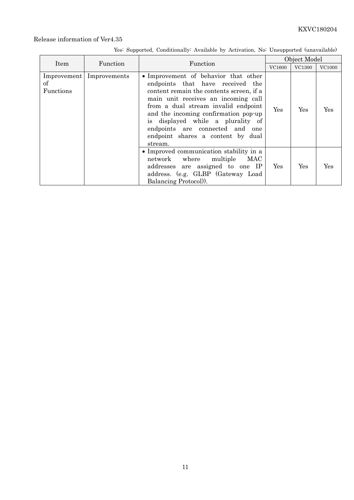|                 |                            |                                                                                                                                                                                                                                                                                                                                                                    | Object Model |        |               |
|-----------------|----------------------------|--------------------------------------------------------------------------------------------------------------------------------------------------------------------------------------------------------------------------------------------------------------------------------------------------------------------------------------------------------------------|--------------|--------|---------------|
| Item            | Function                   | Function                                                                                                                                                                                                                                                                                                                                                           | VC1600       | VC1300 | <b>VC1000</b> |
| οf<br>Functions | Improvement   Improvements | • Improvement of behavior that other<br>endpoints that have received the<br>content remain the contents screen, if a<br>main unit receives an incoming call<br>from a dual stream invalid endpoint<br>and the incoming confirmation pop-up<br>is displayed while a plurality of<br>endpoints are connected and one<br>endpoint shares a content by dual<br>stream. | Yes.         | Yes    | Yes           |
|                 |                            | • Improved communication stability in a<br>network where multiple MAC<br>addresses are assigned to one IP<br>address. (e.g. GLBP (Gateway Load)<br>Balancing Protocol).                                                                                                                                                                                            | Yes          | Yes    | Yes           |

Yes: Supported, Conditionally: Available by Activation, No: Unsupported (unavailable)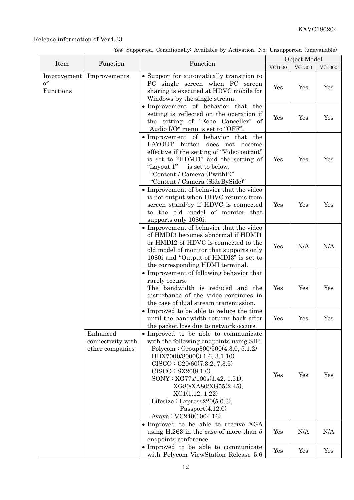|                                |                                                  |                                                                                                                                                                                                                                                                                                                                                                             |               | Object Model |               |
|--------------------------------|--------------------------------------------------|-----------------------------------------------------------------------------------------------------------------------------------------------------------------------------------------------------------------------------------------------------------------------------------------------------------------------------------------------------------------------------|---------------|--------------|---------------|
| Item                           | Function                                         | Function                                                                                                                                                                                                                                                                                                                                                                    | <b>VC1600</b> | VC1300       | <b>VC1000</b> |
| Improvement<br>of<br>Functions | Improvements                                     | • Support for automatically transition to<br>PC single screen when PC screen<br>sharing is executed at HDVC mobile for<br>Windows by the single stream.                                                                                                                                                                                                                     | Yes           | Yes          | Yes           |
|                                |                                                  | • Improvement of behavior that the<br>setting is reflected on the operation if<br>the setting of "Echo Canceller" of<br>"Audio I/O" menu is set to "OFF".                                                                                                                                                                                                                   | Yes           | Yes          | Yes           |
|                                |                                                  | • Improvement of behavior that<br>the<br>LAYOUT button<br>does not become<br>effective if the setting of "Video output"<br>is set to "HDMI1" and the setting of<br>"Layout 1" is set to below.<br>"Content / Camera (PwithP)"<br>"Content / Camera (SideBySide)"                                                                                                            | Yes           | Yes          | Yes           |
|                                |                                                  | • Improvement of behavior that the video<br>is not output when HDVC returns from<br>screen stand-by if HDVC is connected<br>the old model of monitor that<br>to<br>supports only 1080i.                                                                                                                                                                                     | Yes           | Yes          | Yes           |
|                                |                                                  | • Improvement of behavior that the video<br>of HMDI3 becomes abnormal if HDMI1<br>or HMDI2 of HDVC is connected to the<br>old model of monitor that supports only<br>1080i and "Output of HMDI3" is set to<br>the corresponding HDMI terminal.                                                                                                                              | Yes           | N/A          | N/A           |
|                                |                                                  | • Improvement of following behavior that<br>rarely occurs.<br>The bandwidth is reduced and the<br>disturbance of the video continues in<br>the case of dual stream transmission.                                                                                                                                                                                            | Yes           | Yes          | Yes           |
|                                |                                                  | • Improved to be able to reduce the time<br>until the bandwidth returns back after<br>the packet loss due to network occurs.                                                                                                                                                                                                                                                | Yes           | Yes          | Yes           |
|                                | Enhanced<br>connectivity with<br>other companies | • Improved to be able to communicate<br>with the following endpoints using SIP.<br>Polycom : Group300/500(4.3.0, 5.1.2)<br>HDX7000/8000(3.1.6, 3.1.10)<br>CISCO: C20/60(7.3.2, 7.3.5)<br>CISCO : SX20(8.1.0)<br>SONY : XG77s/100s(1.42, 1.51),<br>XG80/XA80/XG55(2.45),<br>XC1(1.12, 1.22)<br>Lifesize : $Express 220(5.0.3),$<br>Passport(4.12.0)<br>Avaya: VC240(1004.16) | Yes           | Yes          | Yes           |
|                                |                                                  | • Improved to be able to receive XGA<br>using H.263 in the case of more than 5<br>endpoints conference.                                                                                                                                                                                                                                                                     | Yes           | N/A          | N/A           |
|                                |                                                  | • Improved to be able to communicate<br>with Polycom ViewStation Release 5.6                                                                                                                                                                                                                                                                                                | Yes           | Yes          | Yes           |

Yes: Supported, Conditionally: Available by Activation, No: Unsupported (unavailable)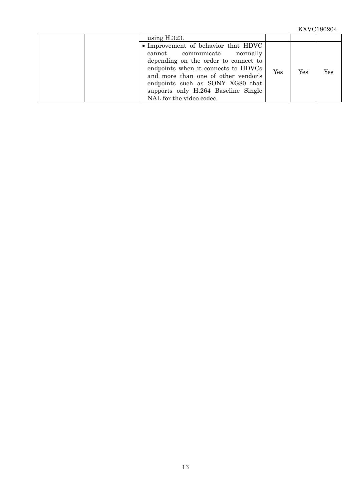| using $H.323$ .                                                                                                                                                                                                                                                                                 |     |     |     |
|-------------------------------------------------------------------------------------------------------------------------------------------------------------------------------------------------------------------------------------------------------------------------------------------------|-----|-----|-----|
| • Improvement of behavior that HDVC<br>cannot communicate normally<br>depending on the order to connect to<br>endpoints when it connects to HDVCs<br>and more than one of other vendor's<br>endpoints such as SONY XG80 that<br>supports only H.264 Baseline Single<br>NAL for the video codec. | Yes | Yes | Yes |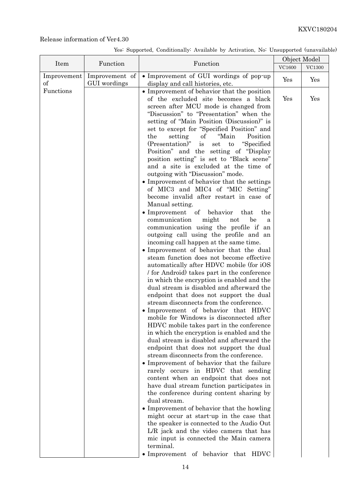|                         |                                |                                                                                                                                                                                                                                                                                                                                                                                                                                                                                                                                                                                                                                                                                                                                                                                                                                                          | Object Model  |        |  |
|-------------------------|--------------------------------|----------------------------------------------------------------------------------------------------------------------------------------------------------------------------------------------------------------------------------------------------------------------------------------------------------------------------------------------------------------------------------------------------------------------------------------------------------------------------------------------------------------------------------------------------------------------------------------------------------------------------------------------------------------------------------------------------------------------------------------------------------------------------------------------------------------------------------------------------------|---------------|--------|--|
| Item                    | Function                       | Function                                                                                                                                                                                                                                                                                                                                                                                                                                                                                                                                                                                                                                                                                                                                                                                                                                                 | <b>VC1600</b> | VC1300 |  |
| Improvement<br>$\sigma$ | Improvement of<br>GUI wordings | • Improvement of GUI wordings of pop-up                                                                                                                                                                                                                                                                                                                                                                                                                                                                                                                                                                                                                                                                                                                                                                                                                  | Yes           | Yes    |  |
| Functions               |                                | display and call histories, etc.<br>• Improvement of behavior that the position<br>of the excluded site becomes a black<br>screen after MCU mode is changed from<br>"Discussion" to "Presentation" when the<br>setting of "Main Position (Discussion)" is<br>set to except for "Specified Position" and<br>"Main<br>the<br>setting<br>of<br>Position<br>(Presentation)"<br>"Specified<br>to<br>is<br>set<br>Position" and the setting of "Display"<br>position setting" is set to "Black scene"<br>and a site is excluded at the time of<br>outgoing with "Discussion" mode.<br>• Improvement of behavior that the settings<br>of MIC3 and MIC4 of "MIC Setting"<br>become invalid after restart in case of<br>Manual setting.<br>• Improvement of behavior<br>the<br>that                                                                               | Yes           | Yes    |  |
|                         |                                | communication<br>might<br>be<br>not<br>a<br>communication using the profile if an<br>outgoing call using the profile and an<br>incoming call happen at the same time.<br>• Improvement of behavior that the dual<br>steam function does not become effective<br>automatically after HDVC mobile (for iOS<br>/ for Android) takes part in the conference<br>in which the encryption is enabled and the<br>dual stream is disabled and afterward the<br>endpoint that does not support the dual<br>stream disconnects from the conference.<br>· Improvement of behavior that HDVC<br>mobile for Windows is disconnected after<br>HDVC mobile takes part in the conference<br>in which the encryption is enabled and the<br>dual stream is disabled and afterward the<br>endpoint that does not support the dual<br>stream disconnects from the conference. |               |        |  |
|                         |                                | • Improvement of behavior that the failure<br>rarely occurs in HDVC that sending<br>content when an endpoint that does not<br>have dual stream function participates in<br>the conference during content sharing by<br>dual stream.<br>• Improvement of behavior that the howling<br>might occur at start-up in the case that<br>the speaker is connected to the Audio Out<br>L/R jack and the video camera that has<br>mic input is connected the Main camera<br>terminal.<br>• Improvement of behavior that HDVC                                                                                                                                                                                                                                                                                                                                       |               |        |  |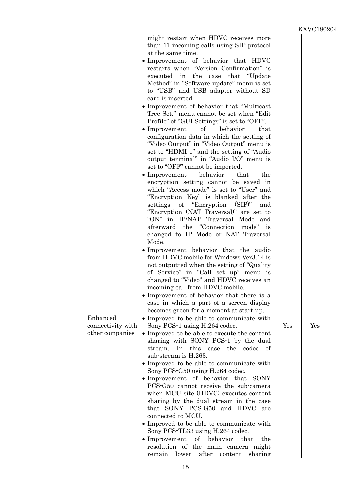|                                                  |                                                                                                                                                                                                                                                                                                                                                                                                                                                                                                                                                                                                                                                                                                                                                                                                                                                                                                                                                                                                                                                                                                                                                                                                                                                                                                                                                                                                                                                                                                                                                                                                                                                                                                                                                                                                                                                                                                                                                                                                                                                                                                                                                                                                                                                                                                                                             |     | IYA V O LOVAU |  |
|--------------------------------------------------|---------------------------------------------------------------------------------------------------------------------------------------------------------------------------------------------------------------------------------------------------------------------------------------------------------------------------------------------------------------------------------------------------------------------------------------------------------------------------------------------------------------------------------------------------------------------------------------------------------------------------------------------------------------------------------------------------------------------------------------------------------------------------------------------------------------------------------------------------------------------------------------------------------------------------------------------------------------------------------------------------------------------------------------------------------------------------------------------------------------------------------------------------------------------------------------------------------------------------------------------------------------------------------------------------------------------------------------------------------------------------------------------------------------------------------------------------------------------------------------------------------------------------------------------------------------------------------------------------------------------------------------------------------------------------------------------------------------------------------------------------------------------------------------------------------------------------------------------------------------------------------------------------------------------------------------------------------------------------------------------------------------------------------------------------------------------------------------------------------------------------------------------------------------------------------------------------------------------------------------------------------------------------------------------------------------------------------------------|-----|---------------|--|
| Enhanced<br>connectivity with<br>other companies | might restart when HDVC receives more<br>than 11 incoming calls using SIP protocol<br>at the same time.<br>• Improvement of behavior that HDVC<br>restarts when "Version Confirmation" is<br>executed in the case that "Update"<br>Method" in "Software update" menu is set<br>to "USB" and USB adapter without SD<br>card is inserted.<br>• Improvement of behavior that "Multicast"<br>Tree Set." menu cannot be set when "Edit"<br>Profile" of "GUI Settings" is set to "OFF".<br>of<br>$\bullet$ Improvement<br>behavior<br>that<br>configuration data in which the setting of<br>"Video Output" in "Video Output" menu is<br>set to "HDMI 1" and the setting of "Audio"<br>output terminal" in "Audio I/O" menu is<br>set to "OFF" cannot be imported.<br>$\bullet$ Improvement<br>behavior<br>that<br>the<br>encryption setting cannot be saved in<br>which "Access mode" is set to "User" and<br>"Encryption Key" is blanked after the<br>settings of "Encryption (SIP)"<br>and<br>"Encryption (NAT Traversal)" are set to<br>"ON" in IP/NAT Traversal Mode and<br>afterward the "Connection mode" is<br>changed to IP Mode or NAT Traversal<br>Mode.<br>• Improvement behavior that the audio<br>from HDVC mobile for Windows Ver3.14 is<br>not outputted when the setting of "Quality<br>of Service" in "Call set up" menu is<br>changed to "Video" and HDVC receives an<br>incoming call from HDVC mobile.<br>• Improvement of behavior that there is a<br>case in which a part of a screen display<br>becomes green for a moment at start-up.<br>• Improved to be able to communicate with<br>Sony PCS-1 using H.264 codec.<br>• Improved to be able to execute the content<br>sharing with SONY PCS-1 by the dual<br>In this case the codec<br>of<br>stream.<br>sub-stream is H.263.<br>• Improved to be able to communicate with<br>Sony PCS-G50 using H.264 codec.<br>• Improvement of behavior that SONY<br>PCS-G50 cannot receive the sub-camera<br>when MCU site (HDVC) executes content<br>sharing by the dual stream in the case<br>that SONY PCS-G50 and HDVC are<br>connected to MCU.<br>• Improved to be able to communicate with<br>Sony PCS-TL33 using H.264 codec.<br>$\bullet$ Improvement<br>of behavior<br>that<br>the<br>resolution of the main camera might<br>after<br>lower<br>content<br>remain<br>sharing | Yes | Yes           |  |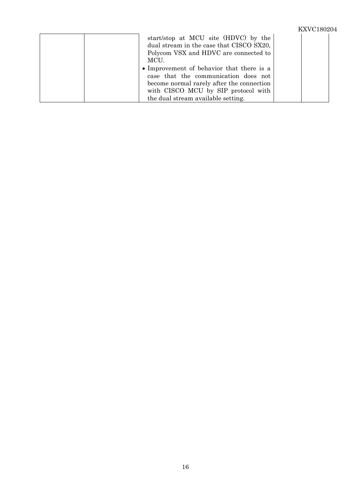#### KXVC180204 start/stop at MCU site (HDVC) by the dual stream in the case that CISCO SX20, Polycom VSX and HDVC are connected to MCU. Improvement of behavior that there is a case that the communication does not become normal rarely after the connection with CISCO MCU by SIP protocol with the dual stream available setting.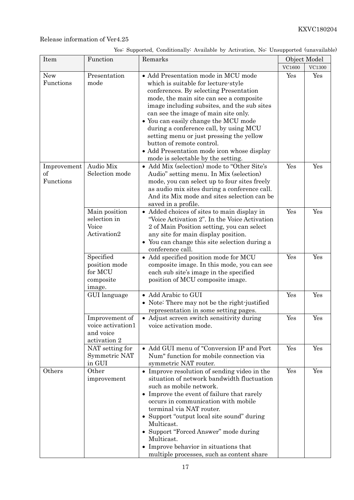| Yes: Supported, Conditionally: Available by Activation, No: Unsupported (unavailable) |  |  |  |
|---------------------------------------------------------------------------------------|--|--|--|
|                                                                                       |  |  |  |

| Item                           | Function                                                         | Remarks                                                                                                                                                                                                                                                                                                                                                                                                                                                                                               | Object Model |        |
|--------------------------------|------------------------------------------------------------------|-------------------------------------------------------------------------------------------------------------------------------------------------------------------------------------------------------------------------------------------------------------------------------------------------------------------------------------------------------------------------------------------------------------------------------------------------------------------------------------------------------|--------------|--------|
|                                |                                                                  |                                                                                                                                                                                                                                                                                                                                                                                                                                                                                                       | VC1600       | VC1300 |
| New<br>Functions               | Presentation<br>mode                                             | • Add Presentation mode in MCU mode<br>which is suitable for lecture-style<br>conferences. By selecting Presentation<br>mode, the main site can see a composite<br>image including subsites, and the sub sites<br>can see the image of main site only.<br>• You can easily change the MCU mode<br>during a conference call, by using MCU<br>setting menu or just pressing the yellow<br>button of remote control.<br>• Add Presentation mode icon whose display<br>mode is selectable by the setting. | Yes          | Yes    |
| Improvement<br>of<br>Functions | Audio Mix<br>Selection mode                                      | • Add Mix (selection) mode to "Other Site's<br>Audio" setting menu. In Mix (selection)<br>mode, you can select up to four sites freely<br>as audio mix sites during a conference call.<br>And its Mix mode and sites selection can be<br>saved in a profile.                                                                                                                                                                                                                                          | Yes          | Yes    |
|                                | Main position<br>selection in<br>Voice<br>Activation2            | • Added choices of sites to main display in<br>"Voice Activation 2". In the Voice Activation<br>2 of Main Position setting, you can select<br>any site for main display position.<br>You can change this site selection during a<br>conference call.                                                                                                                                                                                                                                                  | Yes          | Yes    |
|                                | Specified<br>position mode<br>for MCU<br>composite<br>image.     | • Add specified position mode for MCU<br>composite image. In this mode, you can see<br>each sub site's image in the specified<br>position of MCU composite image.                                                                                                                                                                                                                                                                                                                                     | Yes          | Yes    |
|                                | GUI language                                                     | • Add Arabic to GUI<br>• Note: There may not be the right-justified<br>representation in some setting pages.                                                                                                                                                                                                                                                                                                                                                                                          | Yes          | Yes    |
|                                | Improvement of<br>voice activation1<br>and voice<br>activation 2 | • Adjust screen switch sensitivity during<br>voice activation mode.                                                                                                                                                                                                                                                                                                                                                                                                                                   | Yes          | Yes    |
|                                | NAT setting for<br>Symmetric NAT<br>in GUI                       | • Add GUI menu of "Conversion IP and Port<br>Num" function for mobile connection via<br>symmetric NAT router.                                                                                                                                                                                                                                                                                                                                                                                         | Yes          | Yes    |
| Others                         | Other<br>improvement                                             | • Improve resolution of sending video in the<br>situation of network bandwidth fluctuation<br>such as mobile network.<br>• Improve the event of failure that rarely<br>occurs in communication with mobile<br>terminal via NAT router.<br>Support "output local site sound" during<br>Multicast.<br>• Support "Forced Answer" mode during<br>Multicast.<br>• Improve behavior in situations that<br>multiple processes, such as content share                                                         | Yes          | Yes    |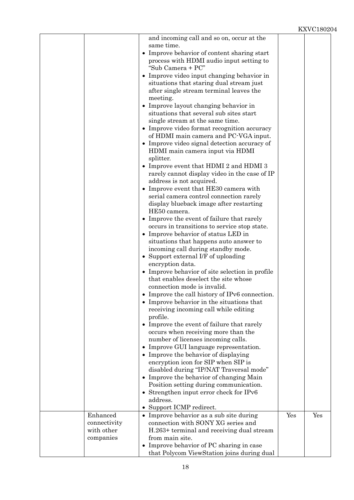|                                         | and incoming call and so on, occur at the<br>same time.<br>• Improve behavior of content sharing start<br>process with HDMI audio input setting to<br>"Sub Camera + PC"<br>• Improve video input changing behavior in<br>situations that staring dual stream just                                                                                     |     |     |
|-----------------------------------------|-------------------------------------------------------------------------------------------------------------------------------------------------------------------------------------------------------------------------------------------------------------------------------------------------------------------------------------------------------|-----|-----|
|                                         | after single stream terminal leaves the<br>meeting.<br>• Improve layout changing behavior in<br>situations that several sub sites start<br>single stream at the same time.<br>• Improve video format recognition accuracy<br>of HDMI main camera and PC-VGA input.<br>• Improve video signal detection accuracy of<br>HDMI main camera input via HDMI |     |     |
|                                         | splitter.<br>• Improve event that HDMI 2 and HDMI 3<br>rarely cannot display video in the case of IP<br>address is not acquired.<br>• Improve event that HE30 camera with<br>serial camera control connection rarely<br>display blueback image after restarting<br>HE50 camera.                                                                       |     |     |
|                                         | • Improve the event of failure that rarely<br>occurs in transitions to service stop state.<br>• Improve behavior of status LED in<br>situations that happens auto answer to<br>incoming call during standby mode.<br>• Support external I/F of uploading<br>encryption data.                                                                          |     |     |
|                                         | • Improve behavior of site selection in profile<br>that enables deselect the site whose<br>connection mode is invalid.<br>• Improve the call history of IPv6 connection.<br>• Improve behavior in the situations that<br>receiving incoming call while editing<br>profile.                                                                            |     |     |
|                                         | • Improve the event of failure that rarely<br>occurs when receiving more than the<br>number of licenses incoming calls.<br>• Improve GUI language representation.<br>• Improve the behavior of displaying<br>encryption icon for SIP when SIP is<br>disabled during "IP/NAT Traversal mode"                                                           |     |     |
| Enhanced                                | • Improve the behavior of changing Main<br>Position setting during communication.<br>• Strengthen input error check for IPv6<br>address.<br>• Support ICMP redirect.<br>• Improve behavior as a sub site during                                                                                                                                       | Yes | Yes |
| connectivity<br>with other<br>companies | connection with SONY XG series and<br>H.263+ terminal and receiving dual stream<br>from main site.<br>• Improve behavior of PC sharing in case<br>that Polycom ViewStation joins during dual                                                                                                                                                          |     |     |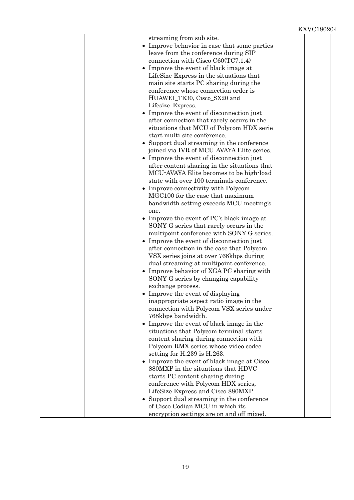|  | streaming from sub site.                                                                 |  |
|--|------------------------------------------------------------------------------------------|--|
|  | • Improve behavior in case that some parties                                             |  |
|  | leave from the conference during SIP                                                     |  |
|  | connection with Cisco $C60(TC7.1.4)$                                                     |  |
|  | • Improve the event of black image at                                                    |  |
|  | LifeSize Express in the situations that                                                  |  |
|  | main site starts PC sharing during the                                                   |  |
|  | conference whose connection order is                                                     |  |
|  | HUAWEI_TE30, Cisco_SX20 and                                                              |  |
|  | Lifesize_Express.                                                                        |  |
|  | • Improve the event of disconnection just                                                |  |
|  | after connection that rarely occurs in the                                               |  |
|  | situations that MCU of Polycom HDX serie                                                 |  |
|  | start multi-site conference.                                                             |  |
|  | Support dual streaming in the conference                                                 |  |
|  | joined via IVR of MCU-AVAYA Elite series.                                                |  |
|  | • Improve the event of disconnection just                                                |  |
|  | after content sharing in the situations that                                             |  |
|  | MCU-AVAYA Elite becomes to be high-load                                                  |  |
|  | state with over 100 terminals conference.                                                |  |
|  | • Improve connectivity with Polycom                                                      |  |
|  | MGC100 for the case that maximum                                                         |  |
|  | bandwidth setting exceeds MCU meeting's                                                  |  |
|  | one.                                                                                     |  |
|  | • Improve the event of $PC$ 's black image at<br>SONY G series that rarely occurs in the |  |
|  | multipoint conference with SONY G series.                                                |  |
|  | • Improve the event of disconnection just                                                |  |
|  | after connection in the case that Polycom                                                |  |
|  | VSX series joins at over 768kbps during                                                  |  |
|  | dual streaming at multipoint conference.                                                 |  |
|  | Improve behavior of XGA PC sharing with                                                  |  |
|  | SONY G series by changing capability                                                     |  |
|  | exchange process.                                                                        |  |
|  | • Improve the event of displaying                                                        |  |
|  | inappropriate aspect ratio image in the                                                  |  |
|  | connection with Polycom VSX series under                                                 |  |
|  | 768kbps bandwidth.                                                                       |  |
|  | Improve the event of black image in the<br>٠                                             |  |
|  | situations that Polycom terminal starts                                                  |  |
|  | content sharing during connection with                                                   |  |
|  | Polycom RMX series whose video codec                                                     |  |
|  | setting for $H.239$ is $H.263$ .                                                         |  |
|  | • Improve the event of black image at Cisco                                              |  |
|  | 880MXP in the situations that HDVC                                                       |  |
|  | starts PC content sharing during                                                         |  |
|  | conference with Polycom HDX series,                                                      |  |
|  | LifeSize Express and Cisco 880MXP.                                                       |  |
|  | • Support dual streaming in the conference                                               |  |
|  | of Cisco Codian MCU in which its                                                         |  |
|  | encryption settings are on and off mixed.                                                |  |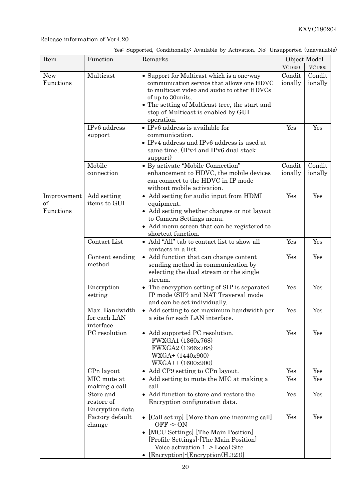|  |  | Yes: Supported, Conditionally: Available by Activation, No: Unsupported (unavailable) |
|--|--|---------------------------------------------------------------------------------------|
|--|--|---------------------------------------------------------------------------------------|

| Item                           | Function                                    | Remarks                                                                                                                                                                                                                                                              | Object Model      |                   |
|--------------------------------|---------------------------------------------|----------------------------------------------------------------------------------------------------------------------------------------------------------------------------------------------------------------------------------------------------------------------|-------------------|-------------------|
|                                |                                             |                                                                                                                                                                                                                                                                      | <b>VC1600</b>     | <b>VC1300</b>     |
| New<br>Functions               | Multicast                                   | • Support for Multicast which is a one-way<br>communication service that allows one HDVC<br>to multicast video and audio to other HDVCs<br>of up to 30 units.<br>• The setting of Multicast tree, the start and<br>stop of Multicast is enabled by GUI<br>operation. | Condit<br>ionally | Condit<br>ionally |
|                                | IPv6 address<br>support                     | • IPv6 address is available for<br>communication.<br>• IPv4 address and IPv6 address is used at<br>same time. (IPv4 and IPv6 dual stack<br>support)                                                                                                                  | Yes               | Yes               |
|                                | Mobile<br>connection                        | • By activate "Mobile Connection"<br>enhancement to HDVC, the mobile devices<br>can connect to the HDVC in IP mode<br>without mobile activation.                                                                                                                     | Condit<br>ionally | Condit<br>ionally |
| Improvement<br>of<br>Functions | Add setting<br>items to GUI                 | • Add setting for audio input from HDMI<br>equipment.<br>• Add setting whether changes or not layout<br>to Camera Settings menu.<br>• Add menu screen that can be registered to<br>shortcut function.                                                                | Yes               | Yes               |
|                                | Contact List                                | • Add "All" tab to contact list to show all<br>contacts in a list.                                                                                                                                                                                                   | Yes               | Yes               |
|                                | Content sending<br>method                   | • Add function that can change content<br>sending method in communication by<br>selecting the dual stream or the single<br>stream.                                                                                                                                   | Yes               | Yes               |
|                                | Encryption<br>setting                       | • The encryption setting of SIP is separated<br>IP mode (SIP) and NAT Traversal mode<br>and can be set individually.                                                                                                                                                 | Yes               | Yes               |
|                                | Max. Bandwidth<br>for each LAN<br>interface | • Add setting to set maximum bandwidth per<br>a site for each LAN interface.                                                                                                                                                                                         | Yes               | Yes               |
|                                | PC resolution                               | • Add supported PC resolution.<br>FWXGA1 (1360x768)<br>FWXGA2 (1366x768)<br>WXGA+ (1440x900)<br>$WXGA++(1600x900)$                                                                                                                                                   | Yes               | Yes               |
|                                | CPn layout                                  | • Add CP9 setting to CPn layout.                                                                                                                                                                                                                                     | Yes               | Yes               |
|                                | MIC mute at<br>making a call                | • Add setting to mute the MIC at making a<br>call                                                                                                                                                                                                                    | Yes               | Yes               |
|                                | Store and<br>restore of<br>Encryption data  | • Add function to store and restore the<br>Encryption configuration data.                                                                                                                                                                                            | Yes               | Yes               |
|                                | Factory default<br>change                   | [Call set up] [More than one incoming call]<br>$OFF \ge ON$<br>[MCU Settings] - [The Main Position]<br>$\bullet$<br>[Profile Settings] [The Main Position]<br>Voice activation $1 \geq$ Local Site<br>[Encryption]-[Encryption(H.323)]<br>$\bullet$                  | Yes               | Yes               |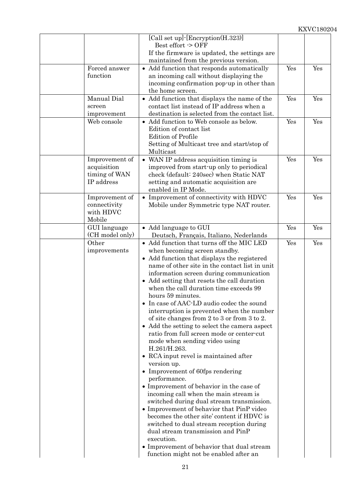|                                                              | [Call set up] [Encryption(H.323)]<br>Best effort -> OFF<br>If the firmware is updated, the settings are<br>maintained from the previous version.                                                                                                                                                                                                                                                                                                                                                                                                                                                                                                                                                                                                                                                                                                                                                                                                                                                                                                                                                                                                             |     |     |
|--------------------------------------------------------------|--------------------------------------------------------------------------------------------------------------------------------------------------------------------------------------------------------------------------------------------------------------------------------------------------------------------------------------------------------------------------------------------------------------------------------------------------------------------------------------------------------------------------------------------------------------------------------------------------------------------------------------------------------------------------------------------------------------------------------------------------------------------------------------------------------------------------------------------------------------------------------------------------------------------------------------------------------------------------------------------------------------------------------------------------------------------------------------------------------------------------------------------------------------|-----|-----|
| Forced answer<br>function                                    | • Add function that responds automatically<br>an incoming call without displaying the<br>incoming confirmation pop-up in other than<br>the home screen.                                                                                                                                                                                                                                                                                                                                                                                                                                                                                                                                                                                                                                                                                                                                                                                                                                                                                                                                                                                                      | Yes | Yes |
| Manual Dial<br>screen<br>improvement                         | $\bullet\,$ Add function that displays the name of the<br>contact list instead of IP address when a<br>destination is selected from the contact list.                                                                                                                                                                                                                                                                                                                                                                                                                                                                                                                                                                                                                                                                                                                                                                                                                                                                                                                                                                                                        | Yes | Yes |
| Web console                                                  | • Add function to Web console as below.<br>Edition of contact list<br><b>Edition of Profile</b><br>Setting of Multicast tree and start/stop of<br>Multicast                                                                                                                                                                                                                                                                                                                                                                                                                                                                                                                                                                                                                                                                                                                                                                                                                                                                                                                                                                                                  | Yes | Yes |
| Improvement of<br>acquisition<br>timing of WAN<br>IP address | • WAN IP address acquisition timing is<br>improved from start-up only to periodical<br>check (default: 240sec) when Static NAT<br>setting and automatic acquisition are<br>enabled in IP Mode.                                                                                                                                                                                                                                                                                                                                                                                                                                                                                                                                                                                                                                                                                                                                                                                                                                                                                                                                                               | Yes | Yes |
| Improvement of<br>connectivity<br>with HDVC<br>Mobile        | • Improvement of connectivity with HDVC<br>Mobile under Symmetric type NAT router.                                                                                                                                                                                                                                                                                                                                                                                                                                                                                                                                                                                                                                                                                                                                                                                                                                                                                                                                                                                                                                                                           | Yes | Yes |
| GUI language<br>(CH model only)                              | • Add language to GUI<br>Deutsch, Français, Italiano, Nederlands                                                                                                                                                                                                                                                                                                                                                                                                                                                                                                                                                                                                                                                                                                                                                                                                                                                                                                                                                                                                                                                                                             | Yes | Yes |
| Other<br>improvements                                        | • Add function that turns off the MIC LED<br>when becoming screen standby.<br>• Add function that displays the registered<br>name of other site in the contact list in unit<br>information screen during communication<br>• Add setting that resets the call duration<br>when the call duration time exceeds 99<br>hours 59 minutes.<br>• In case of AAC-LD audio codec the sound<br>interruption is prevented when the number<br>of site changes from 2 to 3 or from 3 to 2.<br>• Add the setting to select the camera aspect<br>ratio from full screen mode or center-cut<br>mode when sending video using<br>H.261/H.263.<br>• RCA input revel is maintained after<br>version up.<br>• Improvement of 60fps rendering<br>performance.<br>• Improvement of behavior in the case of<br>incoming call when the main stream is<br>switched during dual stream transmission.<br>• Improvement of behavior that PinP video<br>becomes the other site' content if HDVC is<br>switched to dual stream reception during<br>dual stream transmission and PinP<br>execution.<br>• Improvement of behavior that dual stream<br>function might not be enabled after an | Yes | Yes |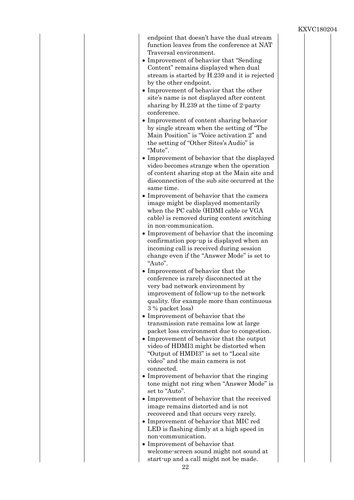| endpoint that doesn't have the dual stream<br>function leaves from the conference at NAT |
|------------------------------------------------------------------------------------------|
| Traversal environment.                                                                   |
| • Improvement of behavior that "Sending"                                                 |
| Content" remains displayed when dual<br>stream is started by H.239 and it is rejected    |
| by the other endpoint.<br>• Improvement of behavior that the other                       |
| site's name is not displayed after content                                               |
| sharing by H.239 at the time of 2-party<br>conference.                                   |
| • Improvement of content sharing behavior                                                |
| by single stream when the setting of "The                                                |
| Main Position" is "Voice activation 2" and                                               |
| the setting of "Other Sites's Audio" is<br>"Mute".                                       |
| • Improvement of behavior that the displayed                                             |
| video becomes strange when the operation                                                 |
| of content sharing stop at the Main site and                                             |
| disconnection of the sub site occurred at the                                            |
| same time.                                                                               |
| • Improvement of behavior that the camera<br>image might be displayed momentarily        |
| when the PC cable (HDMI cable or VGA                                                     |
| cable) is removed during content switching                                               |
| in non-communication.                                                                    |
| Improvement of behavior that the incoming                                                |
| confirmation pop-up is displayed when an<br>incoming call is received during session     |
| change even if the "Answer Mode" is set to<br>"Auto".                                    |
| • Improvement of behavior that the                                                       |
| conference is rarely disconnected at the                                                 |
| very bad network environment by                                                          |
| improvement of follow-up to the network                                                  |
| quality. (for example more than continuous<br>3 % packet loss)                           |
| • Improvement of behavior that the                                                       |
| transmission rate remains low at large                                                   |
| packet loss environment due to congestion.                                               |
| • Improvement of behavior that the output                                                |
| video of HDMI3 might be distorted when                                                   |
| "Output of HMDI3" is set to "Local site<br>video" and the main camera is not             |
| connected.                                                                               |
| • Improvement of behavior that the ringing                                               |
| tone might not ring when "Answer Mode" is                                                |
| set to "Auto".                                                                           |
| • Improvement of behavior that the received                                              |
| image remains distorted and is not<br>recovered and that occurs very rarely.             |
| • Improvement of behavior that MIC red                                                   |
| LED is flashing dimly at a high speed in                                                 |
| non-communication.                                                                       |

 $\bullet$  Improvement of behavior that welcome-screen sound might not sound at start-up and a call might not be made.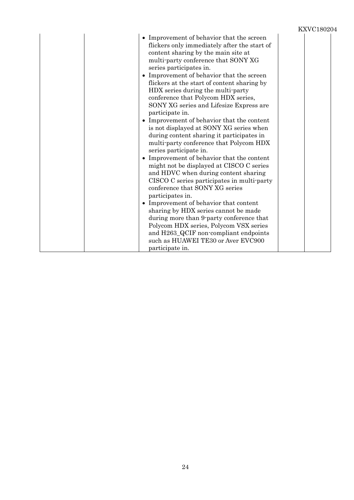| • Improvement of behavior that the screen<br>flickers only immediately after the start of<br>content sharing by the main site at<br>multi-party conference that SONY XG<br>series participates in.<br>• Improvement of behavior that the screen<br>flickers at the start of content sharing by<br>HDX series during the multi-party<br>conference that Polycom HDX series,<br>SONY XG series and Lifesize Express are<br>participate in.<br>• Improvement of behavior that the content<br>is not displayed at SONY XG series when<br>during content sharing it participates in<br>multi-party conference that Polycom HDX<br>series participate in.<br>• Improvement of behavior that the content<br>might not be displayed at CISCO C series<br>and HDVC when during content sharing<br>CISCO C series participates in multi-party<br>conference that SONY XG series<br>participates in.<br>• Improvement of behavior that content |  |  |
|-------------------------------------------------------------------------------------------------------------------------------------------------------------------------------------------------------------------------------------------------------------------------------------------------------------------------------------------------------------------------------------------------------------------------------------------------------------------------------------------------------------------------------------------------------------------------------------------------------------------------------------------------------------------------------------------------------------------------------------------------------------------------------------------------------------------------------------------------------------------------------------------------------------------------------------|--|--|
| sharing by HDX series cannot be made<br>during more than 9-party conference that<br>Polycom HDX series, Polycom VSX series<br>and H263_QCIF non-compliant endpoints<br>such as HUAWEI TE30 or Aver EVC900<br>participate in.                                                                                                                                                                                                                                                                                                                                                                                                                                                                                                                                                                                                                                                                                                        |  |  |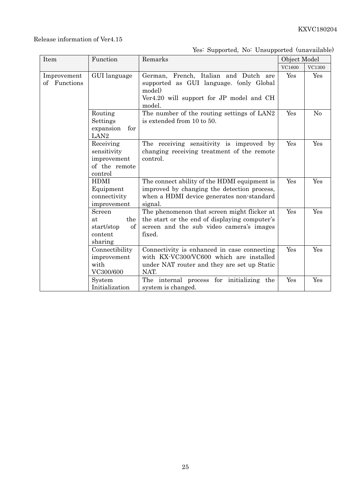#### Release information of Ver4.15

## Yes: Supported, No: Unsupported (unavailable)

| Item                        | Function                                                            | Remarks                                                                                                                                             |        | Object Model |  |
|-----------------------------|---------------------------------------------------------------------|-----------------------------------------------------------------------------------------------------------------------------------------------------|--------|--------------|--|
|                             |                                                                     |                                                                                                                                                     | VC1600 | VC1300       |  |
| Improvement<br>of Functions | GUI language                                                        | German, French, Italian and Dutch are<br>supported as GUI language. (only Global<br>model)<br>Ver4.20 will support for JP model and CH<br>model.    | Yes    | Yes          |  |
|                             | Routing<br>Settings<br>expansion<br>for<br>LAN <sub>2</sub>         | The number of the routing settings of LAN2<br>is extended from 10 to 50.                                                                            | Yes    | No           |  |
|                             | Receiving<br>sensitivity<br>improvement<br>of the remote<br>control | The receiving sensitivity is improved by<br>changing receiving treatment of the remote<br>control.                                                  | Yes    | Yes          |  |
|                             | <b>HDMI</b><br>Equipment<br>connectivity<br>improvement             | The connect ability of the HDMI equipment is<br>improved by changing the detection process,<br>when a HDMI device generates non-standard<br>signal. | Yes    | Yes          |  |
|                             | Screen<br>the<br>at<br>start/stop<br>οf<br>content<br>sharing       | The phenomenon that screen might flicker at<br>the start or the end of displaying computer's<br>screen and the sub video camera's images<br>fixed.  | Yes    | Yes          |  |
|                             | Connectibility<br>improvement<br>with<br>VC300/600                  | Connectivity is enhanced in case connecting<br>with KX-VC300/VC600 which are installed<br>under NAT router and they are set up Static<br>NAT.       | Yes    | Yes          |  |
|                             | System<br>Initialization                                            | The internal process for initializing the<br>system is changed.                                                                                     | Yes    | Yes          |  |